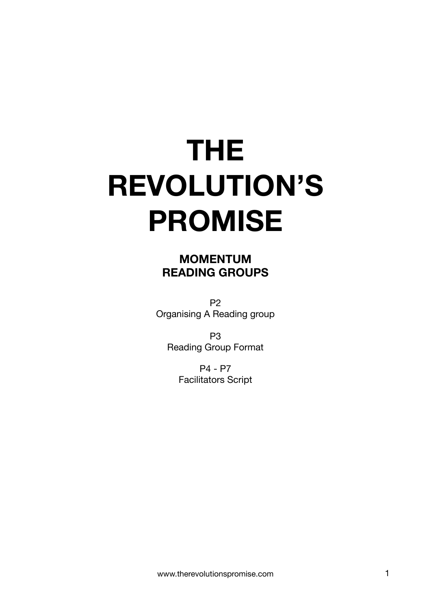# **THE REVOLUTION'S PROMISE**

# **MOMENTUM READING GROUPS**

P2 Organising A Reading group

P3 Reading Group Format

> P4 - P7 Facilitators Script

[www.therevolutionspromise.com](http://www.threvolutionspromise.com) 1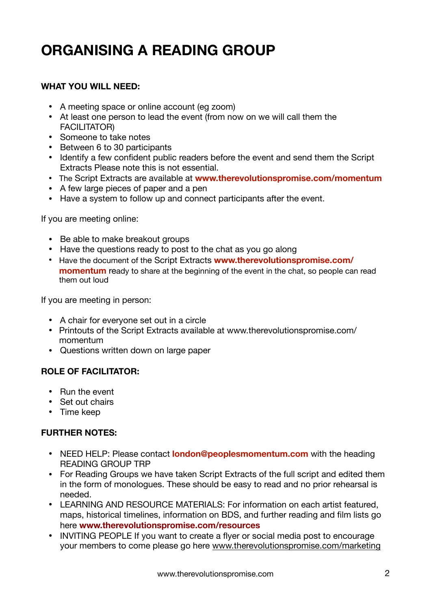# **ORGANISING A READING GROUP**

#### **WHAT YOU WILL NEED:**

- A meeting space or online account (eg zoom)
- At least one person to lead the event (from now on we will call them the FACILITATOR)
- Someone to take notes
- Between 6 to 30 participants
- Identify a few confident public readers before the event and send them the Script Extracts Please note this is not essential.
- The Script Extracts are available at **www.therevolutionspromise.com/momentum**
- A few large pieces of paper and a pen
- Have a system to follow up and connect participants after the event.

If you are meeting online:

- Be able to make breakout groups
- Have the questions ready to post to the chat as you go along
- Have the document of the Script Extracts **[www.therevolutionspromise.com/](http://www.therevolutionspromise.com/momentum) [momentum](http://www.therevolutionspromise.com/momentum)** ready to share at the beginning of the event in the chat, so people can read them out loud

If you are meeting in person:

- A chair for everyone set out in a circle
- Printouts of the Script Extracts available at www.therevolutionspromise.com/ momentum
- Questions written down on large paper

#### **ROLE OF FACILITATOR:**

- Run the event
- Set out chairs
- Time keep

#### **FURTHER NOTES:**

- NEED HELP: Please contact **london@peoplesmomentum.com** with the heading READING GROUP TRP
- For Reading Groups we have taken Script Extracts of the full script and edited them in the form of monologues. These should be easy to read and no prior rehearsal is needed.
- LEARNING AND RESOURCE MATERIALS: For information on each artist featured, maps, historical timelines, information on BDS, and further reading and film lists go here **www.therevolutionspromise.com/resources**
- INVITING PEOPLE If you want to create a flyer or social media post to encourage your members to come please go here [www.therevolutionspromise.com/marketing](http://www.therevolutionspromise.com/marketing)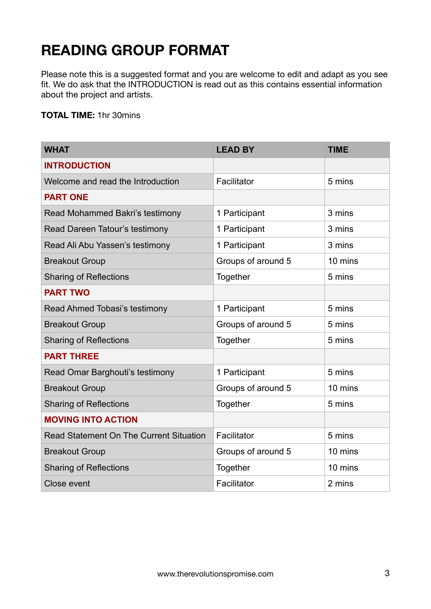# **READING GROUP FORMAT**

Please note this is a suggested format and you are welcome to edit and adapt as you see fit. We do ask that the INTRODUCTION is read out as this contains essential information about the project and artists.

#### **TOTAL TIME:** 1hr 30mins

| <b>WHAT</b>                                    | <b>LEAD BY</b>     | <b>TIME</b> |
|------------------------------------------------|--------------------|-------------|
| <b>INTRODUCTION</b>                            |                    |             |
| Welcome and read the Introduction              | Facilitator        | 5 mins      |
| <b>PART ONE</b>                                |                    |             |
| Read Mohammed Bakri's testimony                | 1 Participant      | 3 mins      |
| Read Dareen Tatour's testimony                 | 1 Participant      | 3 mins      |
| Read Ali Abu Yassen's testimony                | 1 Participant      | 3 mins      |
| <b>Breakout Group</b>                          | Groups of around 5 | 10 mins     |
| <b>Sharing of Reflections</b>                  | Together           | 5 mins      |
| <b>PART TWO</b>                                |                    |             |
| Read Ahmed Tobasi's testimony                  | 1 Participant      | 5 mins      |
| <b>Breakout Group</b>                          | Groups of around 5 | 5 mins      |
| <b>Sharing of Reflections</b>                  | Together           | 5 mins      |
| <b>PART THREE</b>                              |                    |             |
| Read Omar Barghouti's testimony                | 1 Participant      | 5 mins      |
| <b>Breakout Group</b>                          | Groups of around 5 | 10 mins     |
| <b>Sharing of Reflections</b>                  | Together           | 5 mins      |
| <b>MOVING INTO ACTION</b>                      |                    |             |
| <b>Read Statement On The Current Situation</b> | Facilitator        | 5 mins      |
| <b>Breakout Group</b>                          | Groups of around 5 | 10 mins     |
| <b>Sharing of Reflections</b>                  | Together           | 10 mins     |
| Close event                                    | Facilitator        | 2 mins      |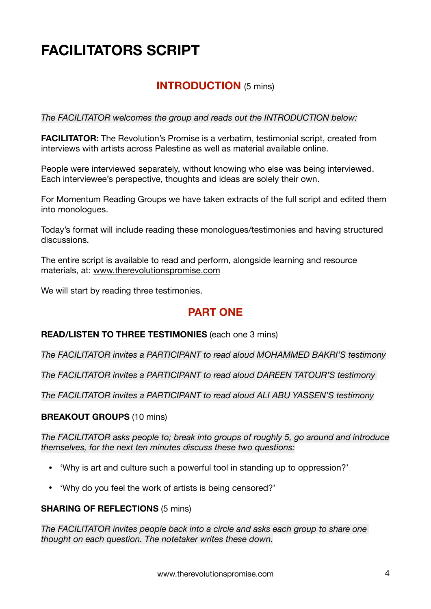# **FACILITATORS SCRIPT**

## **INTRODUCTION** (5 mins)

#### *The FACILITATOR welcomes the group and reads out the INTRODUCTION below:*

**FACILITATOR:** The Revolution's Promise is a verbatim, testimonial script, created from interviews with artists across Palestine as well as material available online.

People were interviewed separately, without knowing who else was being interviewed. Each interviewee's perspective, thoughts and ideas are solely their own.

For Momentum Reading Groups we have taken extracts of the full script and edited them into monologues.

Today's format will include reading these monologues/testimonies and having structured discussions.

The entire script is available to read and perform, alongside learning and resource materials, at: www.therevolutionspromise.com

We will start by reading three testimonies.

### **PART ONE**

#### **READ/LISTEN TO THREE TESTIMONIES** (each one 3 mins)

*The FACILITATOR invites a PARTICIPANT to read aloud MOHAMMED BAKRI'S testimony*

*The FACILITATOR invites a PARTICIPANT to read aloud DAREEN TATOUR'S testimony*

*The FACILITATOR invites a PARTICIPANT to read aloud ALI ABU YASSEN'S testimony* 

#### **BREAKOUT GROUPS** (10 mins)

*The FACILITATOR asks people to; break into groups of roughly 5, go around and introduce themselves, for the next ten minutes discuss these two questions:*

- 'Why is art and culture such a powerful tool in standing up to oppression?'
- 'Why do you feel the work of artists is being censored?'

#### **SHARING OF REFLECTIONS** (5 mins)

*The FACILITATOR invites people back into a circle and asks each group to share one thought on each question. The notetaker writes these down.*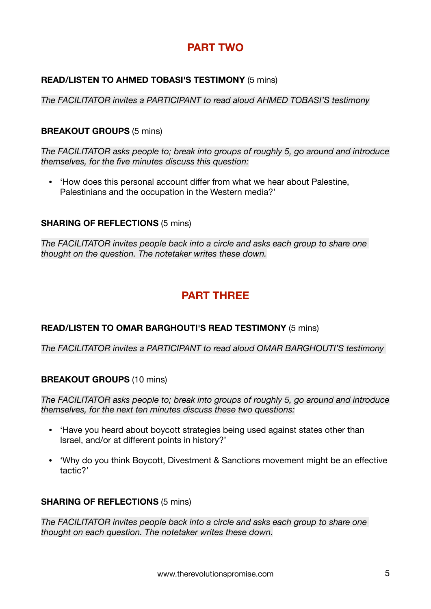## **PART TWO**

#### **READ/LISTEN TO AHMED TOBASI'S TESTIMONY** (5 mins)

*The FACILITATOR invites a PARTICIPANT to read aloud AHMED TOBASI'S testimony*

#### **BREAKOUT GROUPS** (5 mins)

*The FACILITATOR asks people to; break into groups of roughly 5, go around and introduce themselves, for the five minutes discuss this question:*

• 'How does this personal account differ from what we hear about Palestine, Palestinians and the occupation in the Western media?'

#### **SHARING OF REFLECTIONS** (5 mins)

*The FACILITATOR invites people back into a circle and asks each group to share one thought on the question. The notetaker writes these down.*

# **PART THREE**

#### **READ/LISTEN TO OMAR BARGHOUTI'S READ TESTIMONY** (5 mins)

*The FACILITATOR invites a PARTICIPANT to read aloud OMAR BARGHOUTI'S testimony*

#### **BREAKOUT GROUPS** (10 mins)

*The FACILITATOR asks people to; break into groups of roughly 5, go around and introduce themselves, for the next ten minutes discuss these two questions:*

- 'Have you heard about boycott strategies being used against states other than Israel, and/or at different points in history?'
- 'Why do you think Boycott, Divestment & Sanctions movement might be an effective tactic?'

#### **SHARING OF REFLECTIONS** (5 mins)

*The FACILITATOR invites people back into a circle and asks each group to share one thought on each question. The notetaker writes these down.*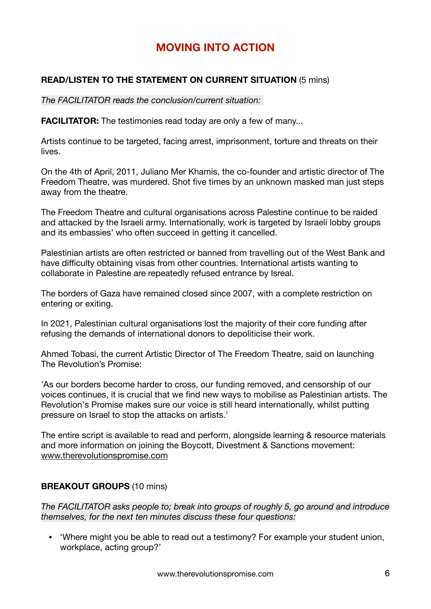# **MOVING INTO ACTION**

#### **READ/LISTEN TO THE STATEMENT ON CURRENT SITUATION** (5 mins)

*The FACILITATOR reads the conclusion/current situation:*

**FACILITATOR:** The testimonies read today are only a few of many...

Artists continue to be targeted, facing arrest, imprisonment, torture and threats on their lives.

On the 4th of April, 2011, Juliano Mer Khamis, the co-founder and artistic director of The Freedom Theatre, was murdered. Shot five times by an unknown masked man just steps away from the theatre.

The Freedom Theatre and cultural organisations across Palestine continue to be raided and attacked by the Israeli army. Internationally, work is targeted by Israeli lobby groups and its embassies' who often succeed in getting it cancelled.

Palestinian artists are often restricted or banned from travelling out of the West Bank and have difficulty obtaining visas from other countries. International artists wanting to collaborate in Palestine are repeatedly refused entrance by Isreal.

The borders of Gaza have remained closed since 2007, with a complete restriction on entering or exiting.

In 2021, Palestinian cultural organisations lost the majority of their core funding after refusing the demands of international donors to depoliticise their work.

Ahmed Tobasi, the current Artistic Director of The Freedom Theatre, said on launching The Revolution's Promise:

'As our borders become harder to cross, our funding removed, and censorship of our voices continues, it is crucial that we find new ways to mobilise as Palestinian artists. The Revolution's Promise makes sure our voice is still heard internationally, whilst putting pressure on Israel to stop the attacks on artists.'

The entire script is available to read and perform, alongside learning & resource materials and more information on joining the Boycott, Divestment & Sanctions movement: www.therevolutionspromise.com

#### **BREAKOUT GROUPS** (10 mins)

*The FACILITATOR asks people to; break into groups of roughly 5, go around and introduce themselves, for the next ten minutes discuss these four questions:*

• 'Where might you be able to read out a testimony? For example your student union, workplace, acting group?'